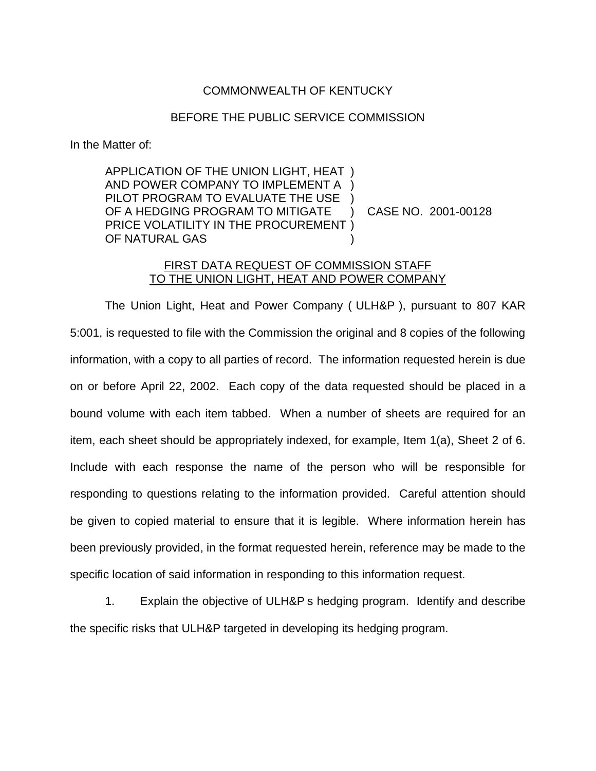## COMMONWEALTH OF KENTUCKY

## BEFORE THE PUBLIC SERVICE COMMISSION

In the Matter of:

APPLICATION OF THE UNION LIGHT, HEAT ) AND POWER COMPANY TO IMPLEMENT A ) PILOT PROGRAM TO EVALUATE THE USE ) OF A HEDGING PROGRAM TO MITIGATE ) CASE NO. 2001-00128 PRICE VOLATILITY IN THE PROCUREMENT ) OF NATURAL GAS

## FIRST DATA REQUEST OF COMMISSION STAFF TO THE UNION LIGHT, HEAT AND POWER COMPANY

The Union Light, Heat and Power Company ( ULH&P ), pursuant to 807 KAR 5:001, is requested to file with the Commission the original and 8 copies of the following information, with a copy to all parties of record. The information requested herein is due on or before April 22, 2002. Each copy of the data requested should be placed in a bound volume with each item tabbed. When a number of sheets are required for an item, each sheet should be appropriately indexed, for example, Item 1(a), Sheet 2 of 6. Include with each response the name of the person who will be responsible for responding to questions relating to the information provided. Careful attention should be given to copied material to ensure that it is legible. Where information herein has been previously provided, in the format requested herein, reference may be made to the specific location of said information in responding to this information request.

1. Explain the objective of ULH&P s hedging program. Identify and describe the specific risks that ULH&P targeted in developing its hedging program.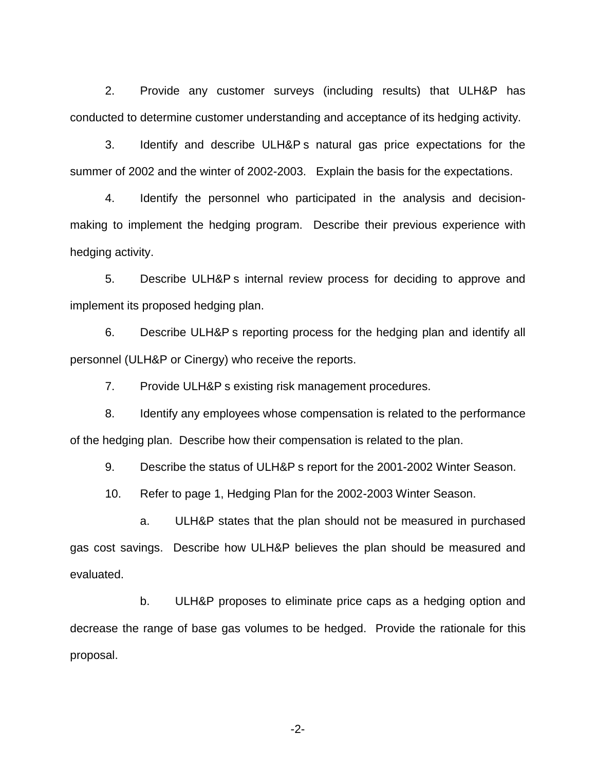2. Provide any customer surveys (including results) that ULH&P has conducted to determine customer understanding and acceptance of its hedging activity.

3. Identify and describe ULH&P s natural gas price expectations for the summer of 2002 and the winter of 2002-2003. Explain the basis for the expectations.

4. Identify the personnel who participated in the analysis and decisionmaking to implement the hedging program. Describe their previous experience with hedging activity.

5. Describe ULH&P s internal review process for deciding to approve and implement its proposed hedging plan.

6. Describe ULH&P s reporting process for the hedging plan and identify all personnel (ULH&P or Cinergy) who receive the reports.

7. Provide ULH&P s existing risk management procedures.

8. Identify any employees whose compensation is related to the performance of the hedging plan. Describe how their compensation is related to the plan.

9. Describe the status of ULH&P s report for the 2001-2002 Winter Season.

10. Refer to page 1, Hedging Plan for the 2002-2003 Winter Season.

a. ULH&P states that the plan should not be measured in purchased gas cost savings. Describe how ULH&P believes the plan should be measured and evaluated.

b. ULH&P proposes to eliminate price caps as a hedging option and decrease the range of base gas volumes to be hedged. Provide the rationale for this proposal.

-2-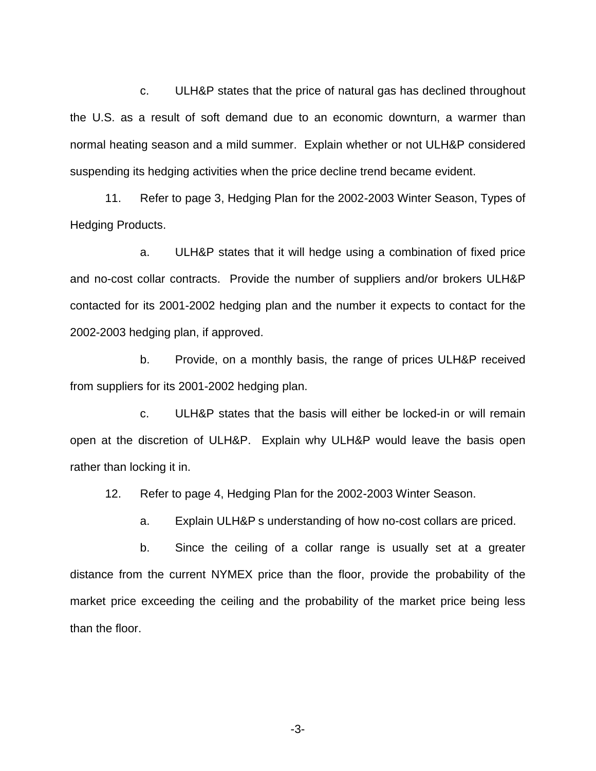c. ULH&P states that the price of natural gas has declined throughout the U.S. as a result of soft demand due to an economic downturn, a warmer than normal heating season and a mild summer. Explain whether or not ULH&P considered suspending its hedging activities when the price decline trend became evident.

11. Refer to page 3, Hedging Plan for the 2002-2003 Winter Season, Types of Hedging Products.

a. ULH&P states that it will hedge using a combination of fixed price and no-cost collar contracts. Provide the number of suppliers and/or brokers ULH&P contacted for its 2001-2002 hedging plan and the number it expects to contact for the 2002-2003 hedging plan, if approved.

b. Provide, on a monthly basis, the range of prices ULH&P received from suppliers for its 2001-2002 hedging plan.

c. ULH&P states that the basis will either be locked-in or will remain open at the discretion of ULH&P. Explain why ULH&P would leave the basis open rather than locking it in.

12. Refer to page 4, Hedging Plan for the 2002-2003 Winter Season.

a. Explain ULH&P s understanding of how no-cost collars are priced.

b. Since the ceiling of a collar range is usually set at a greater distance from the current NYMEX price than the floor, provide the probability of the market price exceeding the ceiling and the probability of the market price being less than the floor.

-3-